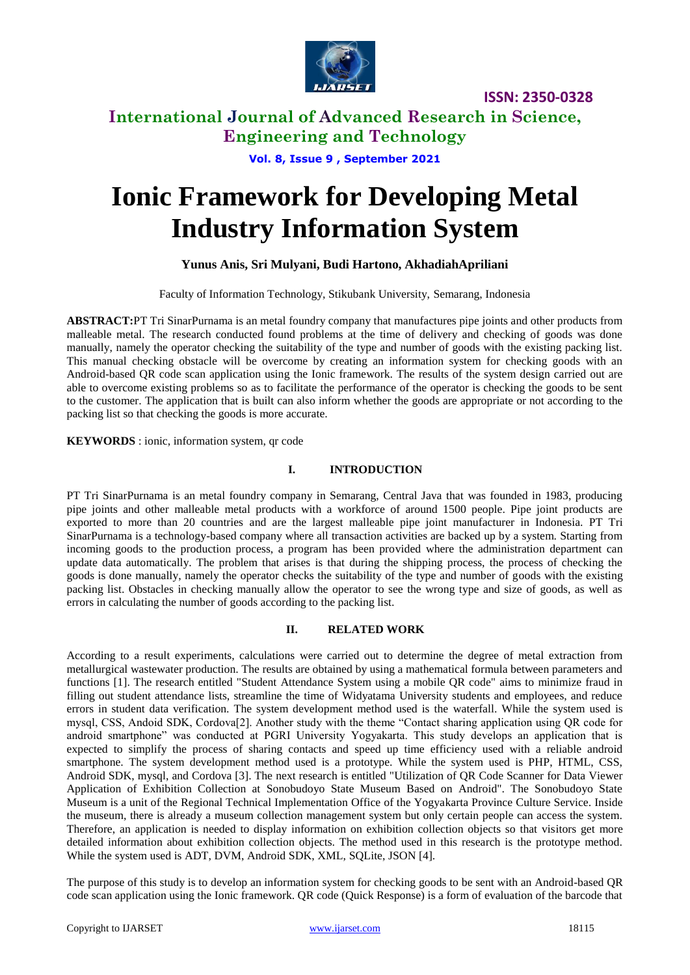

**International Journal of Advanced Research in Science, Engineering and Technology**

**Vol. 8, Issue 9 , September 2021**

# **Ionic Framework for Developing Metal Industry Information System**

#### **Yunus Anis, Sri Mulyani, Budi Hartono, AkhadiahApriliani**

Faculty of Information Technology, Stikubank University, Semarang, Indonesia

**ABSTRACT:**PT Tri SinarPurnama is an metal foundry company that manufactures pipe joints and other products from malleable metal. The research conducted found problems at the time of delivery and checking of goods was done manually, namely the operator checking the suitability of the type and number of goods with the existing packing list. This manual checking obstacle will be overcome by creating an information system for checking goods with an Android-based QR code scan application using the Ionic framework. The results of the system design carried out are able to overcome existing problems so as to facilitate the performance of the operator is checking the goods to be sent to the customer. The application that is built can also inform whether the goods are appropriate or not according to the packing list so that checking the goods is more accurate.

**KEYWORDS** : ionic, information system, qr code

#### **I. INTRODUCTION**

PT Tri SinarPurnama is an metal foundry company in Semarang, Central Java that was founded in 1983, producing pipe joints and other malleable metal products with a workforce of around 1500 people. Pipe joint products are exported to more than 20 countries and are the largest malleable pipe joint manufacturer in Indonesia. PT Tri SinarPurnama is a technology-based company where all transaction activities are backed up by a system. Starting from incoming goods to the production process, a program has been provided where the administration department can update data automatically. The problem that arises is that during the shipping process, the process of checking the goods is done manually, namely the operator checks the suitability of the type and number of goods with the existing packing list. Obstacles in checking manually allow the operator to see the wrong type and size of goods, as well as errors in calculating the number of goods according to the packing list.

#### **II. RELATED WORK**

According to a result experiments, calculations were carried out to determine the degree of metal extraction from metallurgical wastewater production. The results are obtained by using a mathematical formula between parameters and functions [1]. The research entitled "Student Attendance System using a mobile QR code" aims to minimize fraud in filling out student attendance lists, streamline the time of Widyatama University students and employees, and reduce errors in student data verification. The system development method used is the waterfall. While the system used is mysql, CSS, Andoid SDK, Cordova[2]. Another study with the theme "Contact sharing application using QR code for android smartphone" was conducted at PGRI University Yogyakarta. This study develops an application that is expected to simplify the process of sharing contacts and speed up time efficiency used with a reliable android smartphone. The system development method used is a prototype. While the system used is PHP, HTML, CSS, Android SDK, mysql, and Cordova [3]. The next research is entitled "Utilization of QR Code Scanner for Data Viewer Application of Exhibition Collection at Sonobudoyo State Museum Based on Android". The Sonobudoyo State Museum is a unit of the Regional Technical Implementation Office of the Yogyakarta Province Culture Service. Inside the museum, there is already a museum collection management system but only certain people can access the system. Therefore, an application is needed to display information on exhibition collection objects so that visitors get more detailed information about exhibition collection objects. The method used in this research is the prototype method. While the system used is ADT, DVM, Android SDK, XML, SQLite, JSON [4].

The purpose of this study is to develop an information system for checking goods to be sent with an Android-based QR code scan application using the Ionic framework. QR code (Quick Response) is a form of evaluation of the barcode that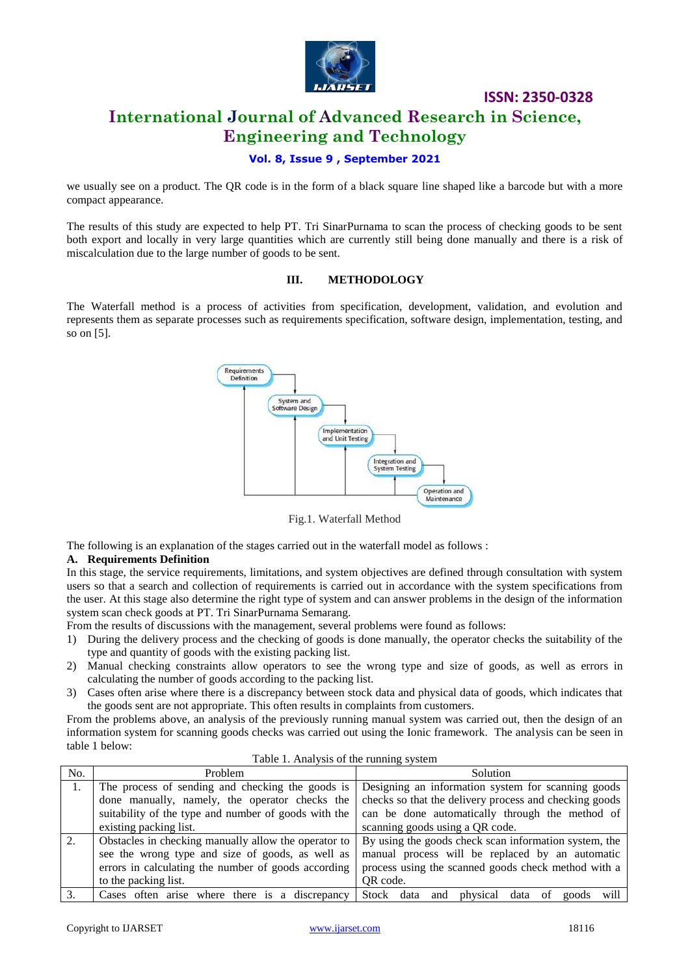

# **ISSN: 2350-0328 International Journal of Advanced Research in Science, Engineering and Technology**

#### **Vol. 8, Issue 9 , September 2021**

we usually see on a product. The QR code is in the form of a black square line shaped like a barcode but with a more compact appearance.

The results of this study are expected to help PT. Tri SinarPurnama to scan the process of checking goods to be sent both export and locally in very large quantities which are currently still being done manually and there is a risk of miscalculation due to the large number of goods to be sent.

#### **III. METHODOLOGY**

The Waterfall method is a process of activities from specification, development, validation, and evolution and represents them as separate processes such as requirements specification, software design, implementation, testing, and so on [5].



Fig.1. Waterfall Method

The following is an explanation of the stages carried out in the waterfall model as follows :

#### **A. Requirements Definition**

In this stage, the service requirements, limitations, and system objectives are defined through consultation with system users so that a search and collection of requirements is carried out in accordance with the system specifications from the user. At this stage also determine the right type of system and can answer problems in the design of the information system scan check goods at PT. Tri SinarPurnama Semarang.

From the results of discussions with the management, several problems were found as follows:

- 1) During the delivery process and the checking of goods is done manually, the operator checks the suitability of the type and quantity of goods with the existing packing list.
- 2) Manual checking constraints allow operators to see the wrong type and size of goods, as well as errors in calculating the number of goods according to the packing list.
- 3) Cases often arise where there is a discrepancy between stock data and physical data of goods, which indicates that the goods sent are not appropriate. This often results in complaints from customers.

From the problems above, an analysis of the previously running manual system was carried out, then the design of an information system for scanning goods checks was carried out using the Ionic framework. The analysis can be seen in table 1 below:

| No. | Problem                                                                                                       | Solution                                               |  |  |  |  |
|-----|---------------------------------------------------------------------------------------------------------------|--------------------------------------------------------|--|--|--|--|
|     | The process of sending and checking the goods is                                                              | Designing an information system for scanning goods     |  |  |  |  |
|     | done manually, namely, the operator checks the                                                                | checks so that the delivery process and checking goods |  |  |  |  |
|     | suitability of the type and number of goods with the                                                          | can be done automatically through the method of        |  |  |  |  |
|     | existing packing list.                                                                                        | scanning goods using a QR code.                        |  |  |  |  |
| 2.  | By using the goods check scan information system, the<br>Obstacles in checking manually allow the operator to |                                                        |  |  |  |  |
|     | see the wrong type and size of goods, as well as                                                              | manual process will be replaced by an automatic        |  |  |  |  |
|     | errors in calculating the number of goods according                                                           | process using the scanned goods check method with a    |  |  |  |  |
|     | to the packing list.                                                                                          | QR code.                                               |  |  |  |  |
|     | Cases often arise where there is<br>a discrepancy                                                             | Stock data and<br>will<br>physical<br>data of<br>goods |  |  |  |  |

Table 1. Analysis of the running system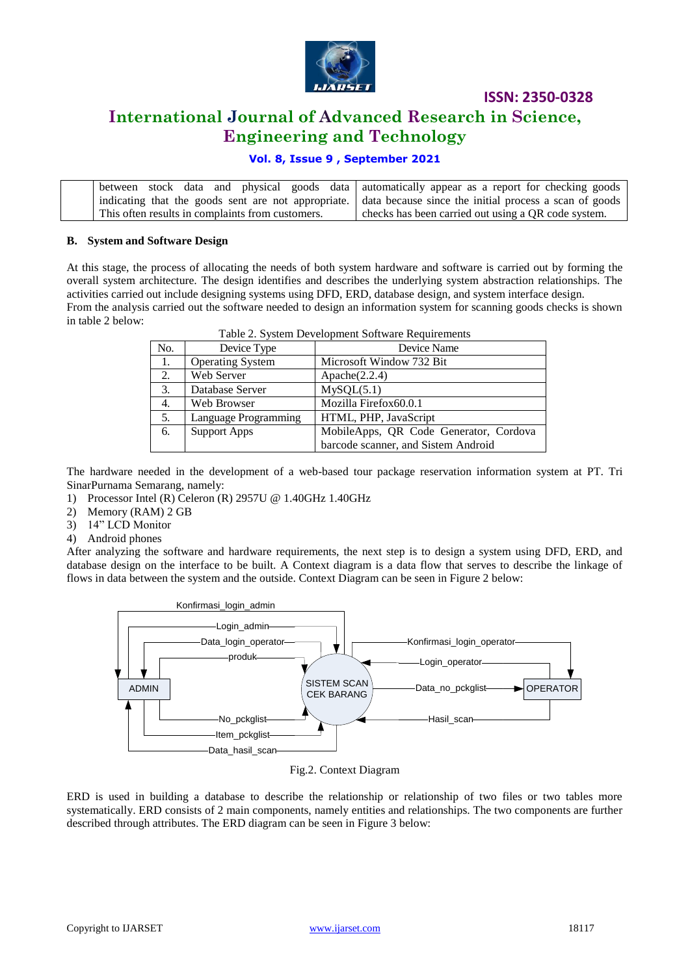

## **International Journal of Advanced Research in Science, Engineering and Technology**

#### **Vol. 8, Issue 9 , September 2021**

|                                                  | between stock data and physical goods data automatically appear as a report for checking goods             |  |  |  |  |
|--------------------------------------------------|------------------------------------------------------------------------------------------------------------|--|--|--|--|
|                                                  | indicating that the goods sent are not appropriate. data because since the initial process a scan of goods |  |  |  |  |
| This often results in complaints from customers. | checks has been carried out using a QR code system.                                                        |  |  |  |  |

#### **B. System and Software Design**

At this stage, the process of allocating the needs of both system hardware and software is carried out by forming the overall system architecture. The design identifies and describes the underlying system abstraction relationships. The activities carried out include designing systems using DFD, ERD, database design, and system interface design. From the analysis carried out the software needed to design an information system for scanning goods checks is shown in table 2 below: Table 2. System Development Software Requirements

| Tuble 2. Bystem Bevelopment Boltware Requirements |                         |                                        |  |  |  |
|---------------------------------------------------|-------------------------|----------------------------------------|--|--|--|
| No.                                               | Device Type             | Device Name                            |  |  |  |
| 1.                                                | <b>Operating System</b> | Microsoft Window 732 Bit               |  |  |  |
| 2.                                                | Web Server              | Apace(2.2.4)                           |  |  |  |
| 3.                                                | Database Server         | MySQL (5.1)                            |  |  |  |
| 4.                                                | Web Browser             | Mozilla Firefox60.0.1                  |  |  |  |
| 5.                                                | Language Programming    | HTML, PHP, JavaScript                  |  |  |  |
| 6.                                                | <b>Support Apps</b>     | MobileApps, QR Code Generator, Cordova |  |  |  |
|                                                   |                         | barcode scanner, and Sistem Android    |  |  |  |

The hardware needed in the development of a web-based tour package reservation information system at PT. Tri SinarPurnama Semarang, namely:

- 1) Processor Intel (R) Celeron (R) 2957U @ 1.40GHz 1.40GHz
- 2) Memory (RAM) 2 GB
- 3) 14" LCD Monitor
- 4) Android phones

After analyzing the software and hardware requirements, the next step is to design a system using DFD, ERD, and database design on the interface to be built. A Context diagram is a data flow that serves to describe the linkage of flows in data between the system and the outside. Context Diagram can be seen in Figure 2 below:



#### Fig.2. Context Diagram

ERD is used in building a database to describe the relationship or relationship of two files or two tables more systematically. ERD consists of 2 main components, namely entities and relationships. The two components are further described through attributes. The ERD diagram can be seen in Figure 3 below: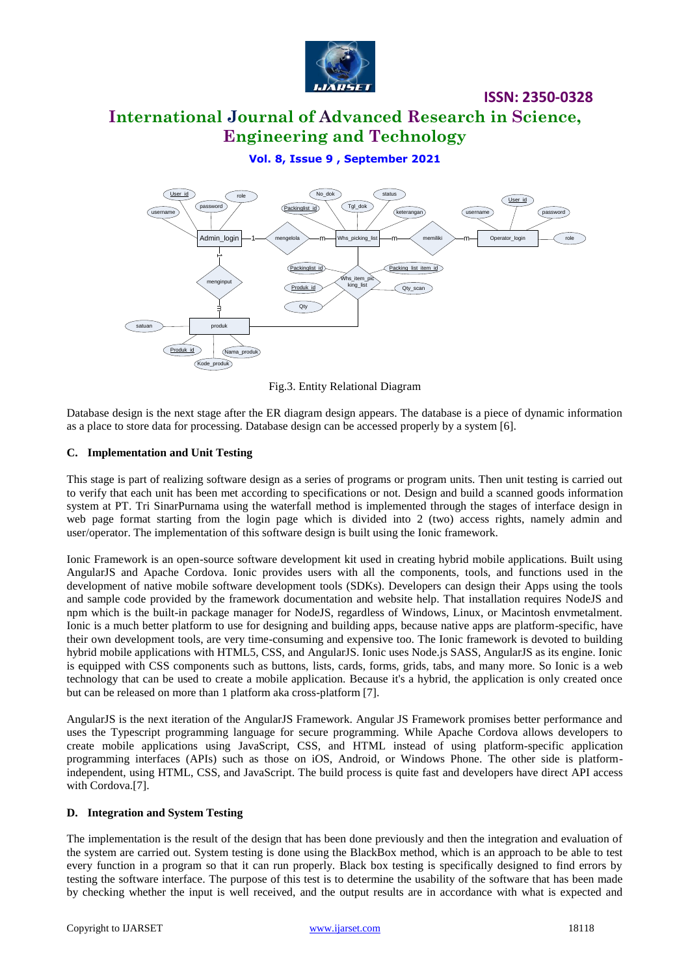

# **International Journal of Advanced Research in Science, Engineering and Technology**

**Vol. 8, Issue 9 , September 2021**



Fig.3. Entity Relational Diagram

Database design is the next stage after the ER diagram design appears. The database is a piece of dynamic information as a place to store data for processing. Database design can be accessed properly by a system [6].

#### **C. Implementation and Unit Testing**

This stage is part of realizing software design as a series of programs or program units. Then unit testing is carried out to verify that each unit has been met according to specifications or not. Design and build a scanned goods information system at PT. Tri SinarPurnama using the waterfall method is implemented through the stages of interface design in web page format starting from the login page which is divided into 2 (two) access rights, namely admin and user/operator. The implementation of this software design is built using the Ionic framework.

Ionic Framework is an open-source software development kit used in creating hybrid mobile applications. Built using AngularJS and Apache Cordova. Ionic provides users with all the components, tools, and functions used in the development of native mobile software development tools (SDKs). Developers can design their Apps using the tools and sample code provided by the framework documentation and website help. That installation requires NodeJS and npm which is the built-in package manager for NodeJS, regardless of Windows, Linux, or Macintosh envmetalment. Ionic is a much better platform to use for designing and building apps, because native apps are platform-specific, have their own development tools, are very time-consuming and expensive too. The Ionic framework is devoted to building hybrid mobile applications with HTML5, CSS, and AngularJS. Ionic uses Node.js SASS, AngularJS as its engine. Ionic is equipped with CSS components such as buttons, lists, cards, forms, grids, tabs, and many more. So Ionic is a web technology that can be used to create a mobile application. Because it's a hybrid, the application is only created once but can be released on more than 1 platform aka cross-platform [7].

AngularJS is the next iteration of the AngularJS Framework. Angular JS Framework promises better performance and uses the Typescript programming language for secure programming. While Apache Cordova allows developers to create mobile applications using JavaScript, CSS, and HTML instead of using platform-specific application programming interfaces (APIs) such as those on iOS, Android, or Windows Phone. The other side is platformindependent, using HTML, CSS, and JavaScript. The build process is quite fast and developers have direct API access with Cordova.[7].

#### **D. Integration and System Testing**

The implementation is the result of the design that has been done previously and then the integration and evaluation of the system are carried out. System testing is done using the BlackBox method, which is an approach to be able to test every function in a program so that it can run properly. Black box testing is specifically designed to find errors by testing the software interface. The purpose of this test is to determine the usability of the software that has been made by checking whether the input is well received, and the output results are in accordance with what is expected and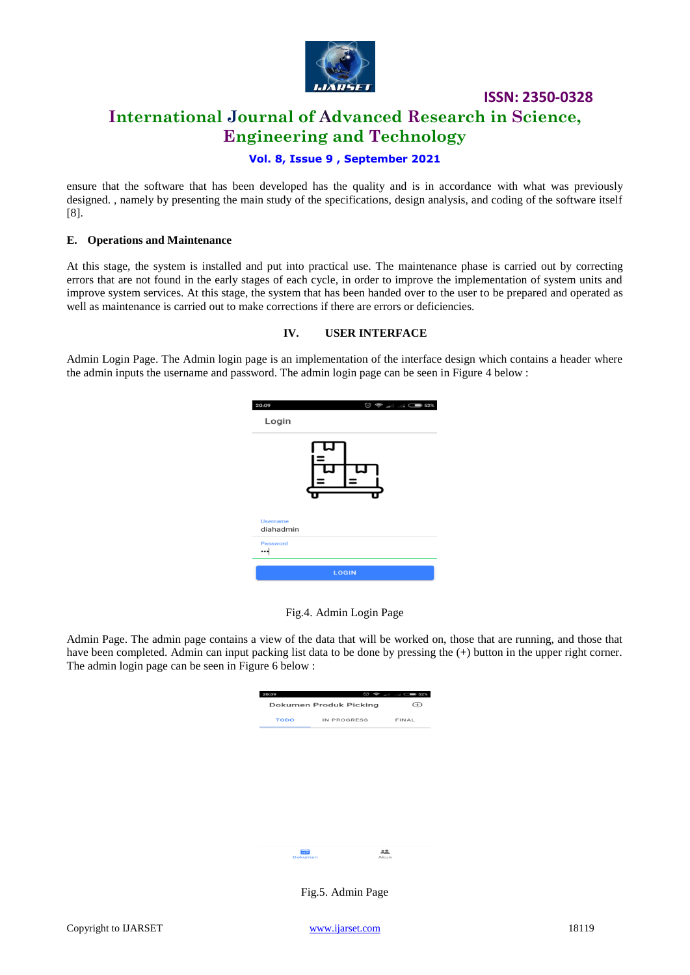

# **International Journal of Advanced Research in Science, Engineering and Technology**

**ISSN: 2350-0328**

#### **Vol. 8, Issue 9 , September 2021**

ensure that the software that has been developed has the quality and is in accordance with what was previously designed. , namely by presenting the main study of the specifications, design analysis, and coding of the software itself [8].

#### **E. Operations and Maintenance**

At this stage, the system is installed and put into practical use. The maintenance phase is carried out by correcting errors that are not found in the early stages of each cycle, in order to improve the implementation of system units and improve system services. At this stage, the system that has been handed over to the user to be prepared and operated as well as maintenance is carried out to make corrections if there are errors or deficiencies.

#### **IV. USER INTERFACE**

Admin Login Page. The Admin login page is an implementation of the interface design which contains a header where the admin inputs the username and password. The admin login page can be seen in Figure 4 below :

| 20:09                        | $\textcircled{3} \textcircled{3} \text{ and } \text{} \text{} \text{} \text{} \text{} \text{} \text{}$ |
|------------------------------|--------------------------------------------------------------------------------------------------------|
| Login                        |                                                                                                        |
|                              |                                                                                                        |
| <b>Username</b><br>diahadmin |                                                                                                        |
| Password<br>…∣               |                                                                                                        |
|                              | <b>LOGIN</b>                                                                                           |

Fig.4. Admin Login Page

Admin Page. The admin page contains a view of the data that will be worked on, those that are running, and those that have been completed. Admin can input packing list data to be done by pressing the  $(+)$  button in the upper right corner. The admin login page can be seen in Figure 6 below :

| 20:09<br><b>Dokumen Produk Picking</b><br>$^{(+)}$ |             |            |  |  |  |
|----------------------------------------------------|-------------|------------|--|--|--|
| <b>TODO</b>                                        | IN PROGRESS | FINAL      |  |  |  |
|                                                    |             |            |  |  |  |
|                                                    |             |            |  |  |  |
|                                                    |             |            |  |  |  |
|                                                    |             |            |  |  |  |
|                                                    |             |            |  |  |  |
|                                                    |             |            |  |  |  |
|                                                    |             |            |  |  |  |
| Dokumen                                            |             | 22<br>Akun |  |  |  |

Fig.5. Admin Page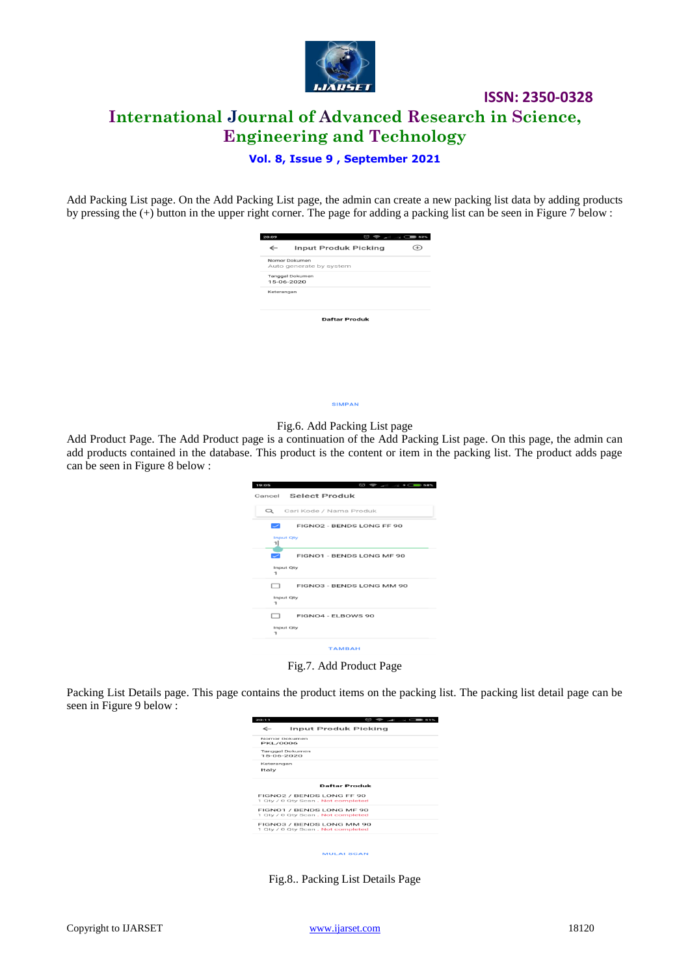

**ISSN: 2350-0328 International Journal of Advanced Research in Science, Engineering and Technology**

#### **Vol. 8, Issue 9 , September 2021**

Add Packing List page. On the Add Packing List page, the admin can create a new packing list data by adding products by pressing the (+) button in the upper right corner. The page for adding a packing list can be seen in Figure 7 below :

| 20:09                |                                          |  |  |  |  |  |  |
|----------------------|------------------------------------------|--|--|--|--|--|--|
| ←                    | Input Produk Picking                     |  |  |  |  |  |  |
|                      | Nomor Dokumen<br>Auto generate by system |  |  |  |  |  |  |
|                      | Tanggal Dokumen<br>15-06-2020            |  |  |  |  |  |  |
| Keterangan           |                                          |  |  |  |  |  |  |
| <b>Daftar Produk</b> |                                          |  |  |  |  |  |  |
|                      |                                          |  |  |  |  |  |  |
|                      |                                          |  |  |  |  |  |  |

SIMPAN



Add Product Page. The Add Product page is a continuation of the Add Packing List page. On this page, the admin can add products contained in the database. This product is the content or item in the packing list. The product adds page can be seen in Figure 8 below :

| $\circledcirc\Rightarrow\ldots\Rightarrow\circledast\Rightarrow\circledast\circledast$<br>19:05 |
|-------------------------------------------------------------------------------------------------|
| Cancel Select Produk                                                                            |
| Q Carl Kode / Nama Produk                                                                       |
| FIGNO2 - BENDS LONG FF 90<br>اسرا                                                               |
| <b>Input Qty</b><br>ᆌ                                                                           |
| FIGNO1 - BENDS LONG MF 90<br>╱                                                                  |
| Input Qty<br>1                                                                                  |
| FIGNO3 - BENDS LONG MM 90<br>□                                                                  |
| Input Qty<br>$\mathbf{1}$                                                                       |
| FIGNO4 - ELBOWS 90<br>$\Box$                                                                    |
| Input Oty<br>1                                                                                  |
| <b>TAMBAH</b>                                                                                   |

Fig.7. Add Product Page

Packing List Details page. This page contains the product items on the packing list. The packing list detail page can be seen in Figure 9 below :

| Input Produk Picking                                           |
|----------------------------------------------------------------|
| Nomor Dokumen<br><b>PKL/0006</b>                               |
| Tanggal Dokumen<br>$15-06-2020$                                |
| Keterangan                                                     |
| <b>Daftar Produk</b>                                           |
| FIGNO2 / BENDS LONG FF 90<br>1 Oty / 0 Oty Scan, Not completed |
| FIGNO1 / BENDS LONG MF 90<br>1 Oty / 0 Oty Scan, Not completed |
| FIGNOS / BENDS LONG MM 90<br>1 Qty / 0 Qty Scan. Not completed |
|                                                                |

**MULAI SCAN** 

Fig.8.. Packing List Details Page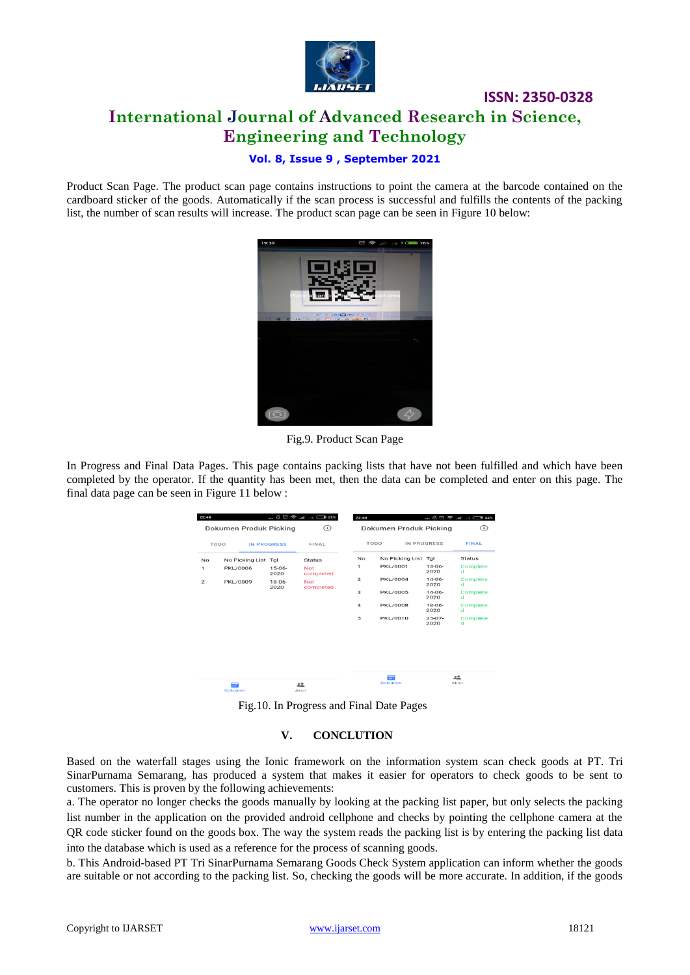

# **ISSN: 2350-0328 International Journal of Advanced Research in Science, Engineering and Technology**

#### **Vol. 8, Issue 9 , September 2021**

Product Scan Page. The product scan page contains instructions to point the camera at the barcode contained on the cardboard sticker of the goods. Automatically if the scan process is successful and fulfills the contents of the packing list, the number of scan results will increase. The product scan page can be seen in Figure 10 below:



Fig.9. Product Scan Page

In Progress and Final Data Pages. This page contains packing lists that have not been fulfilled and which have been completed by the operator. If the quantity has been met, then the data can be completed and enter on this page. The final data page can be seen in Figure 11 below :

| 22:44                   |                        |                     | $\ldots \not\mathbb{Z} \circledcirc \; \Leftrightarrow \; \ldots \vdash \ldots \otimes 22\%$ | 22:44                   |                        |                     |               |
|-------------------------|------------------------|---------------------|----------------------------------------------------------------------------------------------|-------------------------|------------------------|---------------------|---------------|
|                         | Dokumen Produk Picking |                     | ⊕                                                                                            |                         | Dokumen Produk Picking |                     | $\bigoplus$   |
|                         | TODO                   | <b>IN PROGRESS</b>  | FINAL                                                                                        |                         | TODO                   | IN PROGRESS         | <b>FINAL</b>  |
| <b>No</b>               | No Picking List Tgl    |                     | <b>Status</b>                                                                                | No                      | No Picking List Tgl    |                     | <b>Status</b> |
| 1                       | <b>PKL/0006</b>        | $15-06-$<br>2020    | <b>Not</b><br>completed                                                                      | 1                       | <b>PKL/0001</b>        | $13 - 06 -$<br>2020 | Complete<br>d |
| $\overline{\mathbf{c}}$ | PKL/0009               | $18 - 06 -$<br>2020 | <b>Not</b><br>completed                                                                      | $\overline{2}$          | <b>PKL/0004</b>        | $14 - 06 -$<br>2020 | Complete<br>d |
|                         |                        |                     |                                                                                              | 3                       | <b>PKL/0005</b>        | $14 - 06 -$<br>2020 | Complete<br>d |
|                         |                        |                     |                                                                                              | $\overline{\mathbf{A}}$ | <b>PKL/0008</b>        | $18 - 06 -$<br>2020 | Complete<br>d |
|                         |                        |                     |                                                                                              | 5                       | PKL/0010               | $23 - 07 -$<br>2020 | Complete<br>d |
|                         |                        |                     |                                                                                              |                         |                        |                     |               |
|                         |                        |                     |                                                                                              |                         |                        |                     |               |
|                         |                        |                     |                                                                                              |                         |                        |                     |               |
|                         |                        |                     |                                                                                              |                         | 前                      |                     | 22            |
|                         | mi<br>Dokumen          |                     | 유효<br>Akun                                                                                   |                         | <b>Dokumen</b>         |                     | Akun          |

Fig.10. In Progress and Final Date Pages

#### **V. CONCLUTION**

Based on the waterfall stages using the Ionic framework on the information system scan check goods at PT. Tri SinarPurnama Semarang, has produced a system that makes it easier for operators to check goods to be sent to customers. This is proven by the following achievements:

a. The operator no longer checks the goods manually by looking at the packing list paper, but only selects the packing list number in the application on the provided android cellphone and checks by pointing the cellphone camera at the QR code sticker found on the goods box. The way the system reads the packing list is by entering the packing list data into the database which is used as a reference for the process of scanning goods.

b. This Android-based PT Tri SinarPurnama Semarang Goods Check System application can inform whether the goods are suitable or not according to the packing list. So, checking the goods will be more accurate. In addition, if the goods